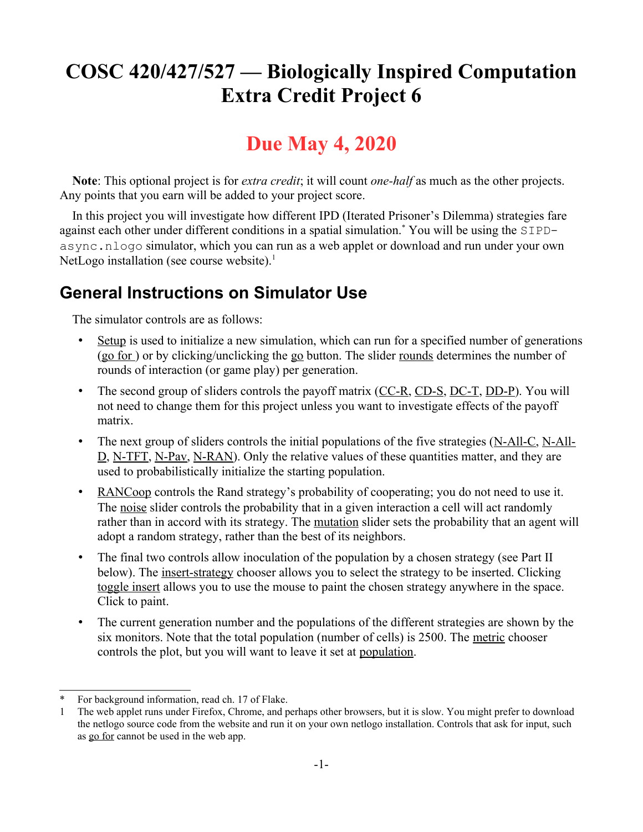# **COSC 420/427/527 — Biologically Inspired Computation Extra Credit Project 6**

# **Due May 4, 2020**

**Note**: This optional project is for *extra credit*; it will count *one-half* as much as the other projects. Any points that you earn will be added to your project score.

In this project you will investigate how different IPD (Iterated Prisoner's Dilemma) strategies fare against each other under different conditions in a spatial simulation.[\\*](#page-0-0) You will be using the SIPDasync.nlogo simulator, which you can run as a web applet or download and run under your own NetLogo installation (see course website). $<sup>1</sup>$  $<sup>1</sup>$  $<sup>1</sup>$ </sup>

### **General Instructions on Simulator Use**

The simulator controls are as follows:

- Setup is used to initialize a new simulation, which can run for a specified number of generations (go for ) or by clicking/unclicking the go button. The slider rounds determines the number of rounds of interaction (or game play) per generation.
- The second group of sliders controls the payoff matrix  $(CC-R, CD-S, DC-T, DD-P)$ . You will not need to change them for this project unless you want to investigate effects of the payoff matrix.
- The next group of sliders controls the initial populations of the five strategies (N-All-C, N-All-D, N-TFT, N-Pav, N-RAN). Only the relative values of these quantities matter, and they are used to probabilistically initialize the starting population.
- RANCoop controls the Rand strategy's probability of cooperating; you do not need to use it. The noise slider controls the probability that in a given interaction a cell will act randomly rather than in accord with its strategy. The mutation slider sets the probability that an agent will adopt a random strategy, rather than the best of its neighbors.
- The final two controls allow inoculation of the population by a chosen strategy (see Part II) below). The insert-strategy chooser allows you to select the strategy to be inserted. Clicking toggle insert allows you to use the mouse to paint the chosen strategy anywhere in the space. Click to paint.
- The current generation number and the populations of the different strategies are shown by the six monitors. Note that the total population (number of cells) is 2500. The metric chooser controls the plot, but you will want to leave it set at population.

<span id="page-0-0"></span>For background information, read ch. 17 of Flake.

<span id="page-0-1"></span><sup>1</sup> The web applet runs under Firefox, Chrome, and perhaps other browsers, but it is slow. You might prefer to download the netlogo source code from the website and run it on your own netlogo installation. Controls that ask for input, such as go for cannot be used in the web app.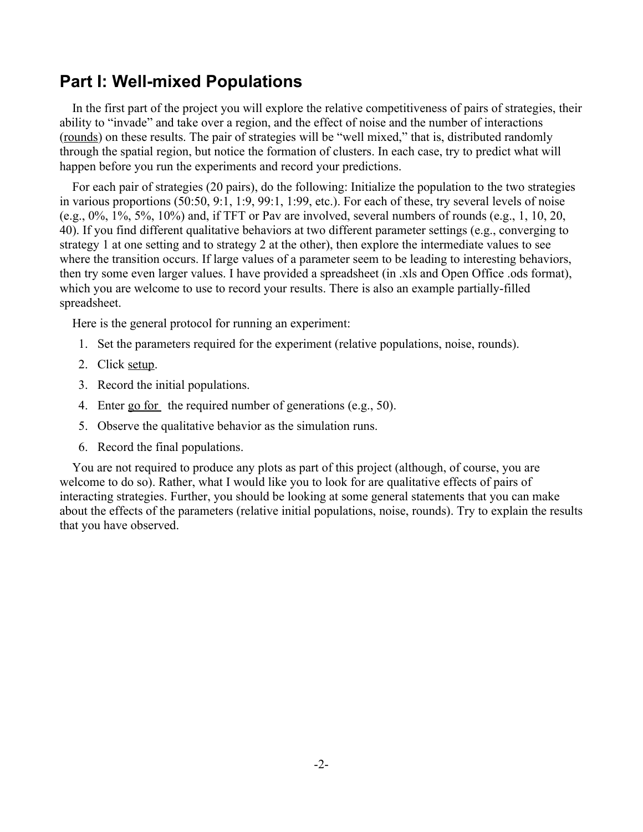#### **Part I: Well-mixed Populations**

In the first part of the project you will explore the relative competitiveness of pairs of strategies, their ability to "invade" and take over a region, and the effect of noise and the number of interactions (rounds) on these results. The pair of strategies will be "well mixed," that is, distributed randomly through the spatial region, but notice the formation of clusters. In each case, try to predict what will happen before you run the experiments and record your predictions.

For each pair of strategies (20 pairs), do the following: Initialize the population to the two strategies in various proportions (50:50, 9:1, 1:9, 99:1, 1:99, etc.). For each of these, try several levels of noise (e.g.,  $0\%$ ,  $1\%$ ,  $5\%$ ,  $10\%$ ) and, if TFT or Pav are involved, several numbers of rounds (e.g., 1, 10, 20, 40). If you find different qualitative behaviors at two different parameter settings (e.g., converging to strategy 1 at one setting and to strategy 2 at the other), then explore the intermediate values to see where the transition occurs. If large values of a parameter seem to be leading to interesting behaviors, then try some even larger values. I have provided a spreadsheet (in .xls and Open Office .ods format), which you are welcome to use to record your results. There is also an example partially-filled spreadsheet.

Here is the general protocol for running an experiment:

- 1. Set the parameters required for the experiment (relative populations, noise, rounds).
- 2. Click setup.
- 3. Record the initial populations.
- 4. Enter go for the required number of generations (e.g., 50).
- 5. Observe the qualitative behavior as the simulation runs.
- 6. Record the final populations.

You are not required to produce any plots as part of this project (although, of course, you are welcome to do so). Rather, what I would like you to look for are qualitative effects of pairs of interacting strategies. Further, you should be looking at some general statements that you can make about the effects of the parameters (relative initial populations, noise, rounds). Try to explain the results that you have observed.